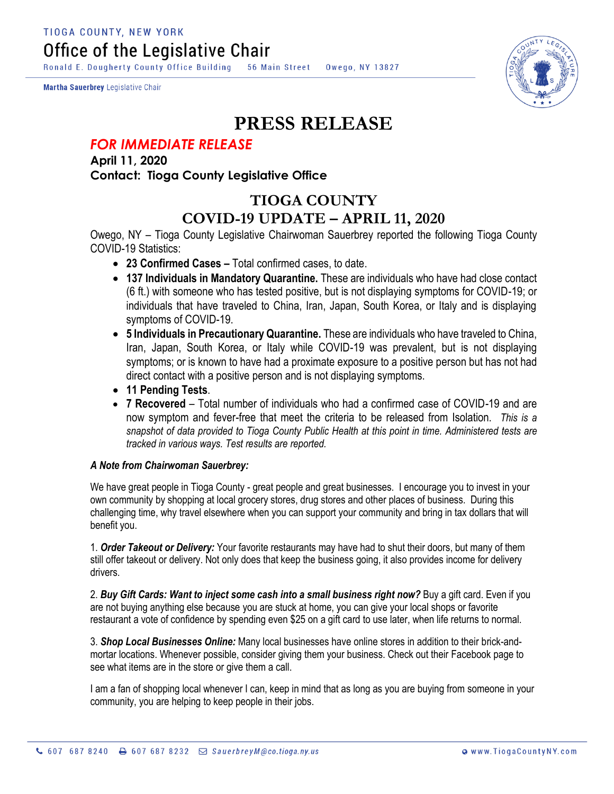**TIOGA COUNTY, NEW YORK** Office of the Legislative Chair

Ronald E. Dougherty County Office Building 56 Main Street Owego, NY 13827

Martha Sauerbrey Legislative Chair



## **PRESS RELEASE**

## *FOR IMMEDIATE RELEASE*

**April 11, 2020 Contact: Tioga County Legislative Office**

## **TIOGA COUNTY COVID-19 UPDATE – APRIL 11, 2020**

Owego, NY – Tioga County Legislative Chairwoman Sauerbrey reported the following Tioga County COVID-19 Statistics:

- **23 Confirmed Cases –** Total confirmed cases, to date.
- **137 Individuals in Mandatory Quarantine.** These are individuals who have had close contact (6 ft.) with someone who has tested positive, but is not displaying symptoms for COVID-19; or individuals that have traveled to China, Iran, Japan, South Korea, or Italy and is displaying symptoms of COVID-19.
- **5 Individuals in Precautionary Quarantine.** These are individuals who have traveled to China, Iran, Japan, South Korea, or Italy while COVID-19 was prevalent, but is not displaying symptoms; or is known to have had a proximate exposure to a positive person but has not had direct contact with a positive person and is not displaying symptoms.
- **11 Pending Tests**.
- **7 Recovered** Total number of individuals who had a confirmed case of COVID-19 and are now symptom and fever-free that meet the criteria to be released from Isolation. *This is a snapshot of data provided to Tioga County Public Health at this point in time. Administered tests are tracked in various ways. Test results are reported.*

## *A Note from Chairwoman Sauerbrey:*

We have great people in Tioga County - great people and great businesses. I encourage you to invest in your own community by shopping at local grocery stores, drug stores and other places of business. During this challenging time, why travel elsewhere when you can support your community and bring in tax dollars that will benefit you.

1. *Order Takeout or Delivery:* Your favorite restaurants may have had to shut their doors, but many of them still offer takeout or delivery. Not only does that keep the business going, it also provides income for delivery drivers.

2. *Buy Gift Cards: Want to inject some cash into a small business right now?* Buy a gift card. Even if you are not buying anything else because you are stuck at home, you can give your local shops or favorite restaurant a vote of confidence by spending even \$25 on a gift card to use later, when life returns to normal.

3. *Shop Local Businesses Online:* Many local businesses have online stores in addition to their brick-andmortar locations. Whenever possible, consider giving them your business. Check out their Facebook page to see what items are in the store or give them a call.

I am a fan of shopping local whenever I can, keep in mind that as long as you are buying from someone in your community, you are helping to keep people in their jobs.